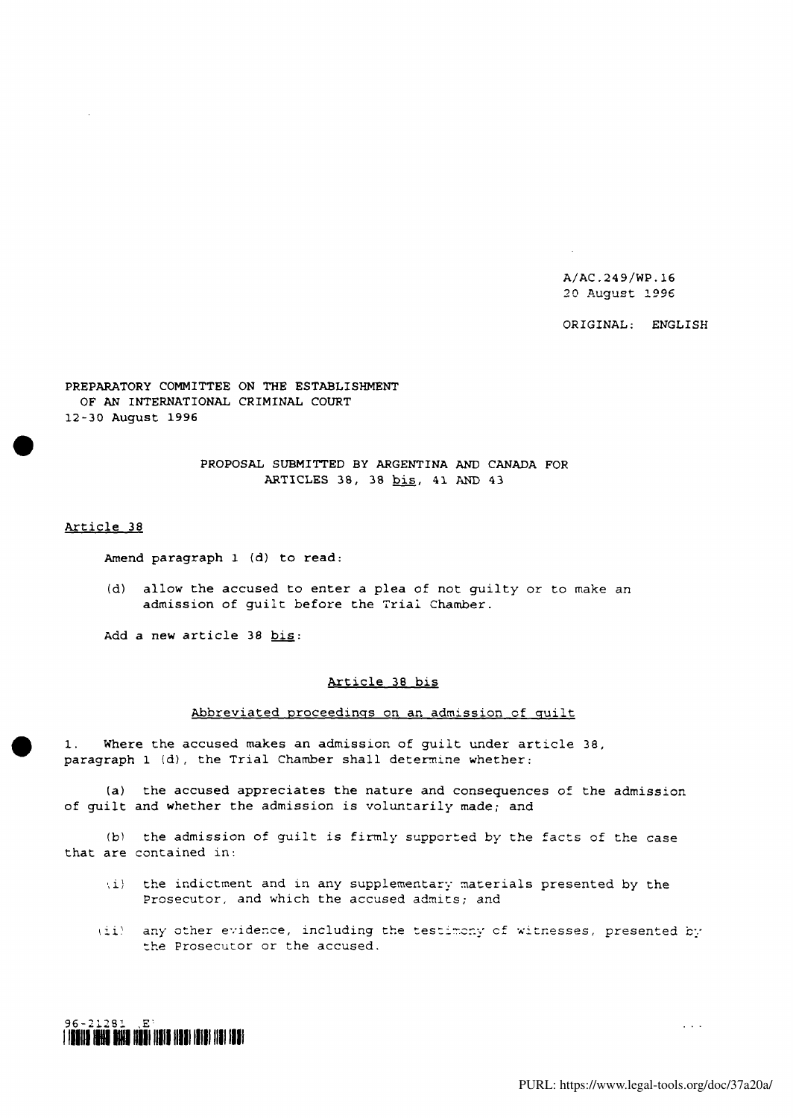A/AC.249/WP.16 20 August 1996

ORIGINAL: ENGLISH

PREPARATORY COMMITTEE ON THE ESTABLISHMENT OF AN INTERNATIONAL CRIMINAL COURT 12-30 August 1996

> PROPOSAL SUBMITTED BY ARGENTINA AND CANADA FOR ARTICLES 38, 38 bis, 41 AND 43

Article 38

Amend paragraph 1 (d) to read:

(d) allow the accused to enter a plea of not guilty or to make an admission of guilt before the Trial Chamber.

Add a new article 38 bis:

### Article 38 bis

### Abbreviated proceedings on an admission of quilt

1. Where the accused makes an admission of guilt under article 38, paragraph 1 (d), the Trial Chamber shall determine whether:

(a) the accused appreciates the nature and consequences of the admission of guilt and whether the admission is voluntarily made; and

(b) the admission of guilt is firmly supported by the facts of the case that are contained in:

- •,i) the indictment and in any supplementary materials presented by the Prosecutor, and which the accused admits; and
- (ii) any other evidence, including the testimony of witnesses, presented by the Prosecutor or the accused.

# 96-21231 ,E'· i illind istii ahka halki han han mad in die in iddi.

 $\mathcal{L}(\mathcal{A},\mathcal{A})$